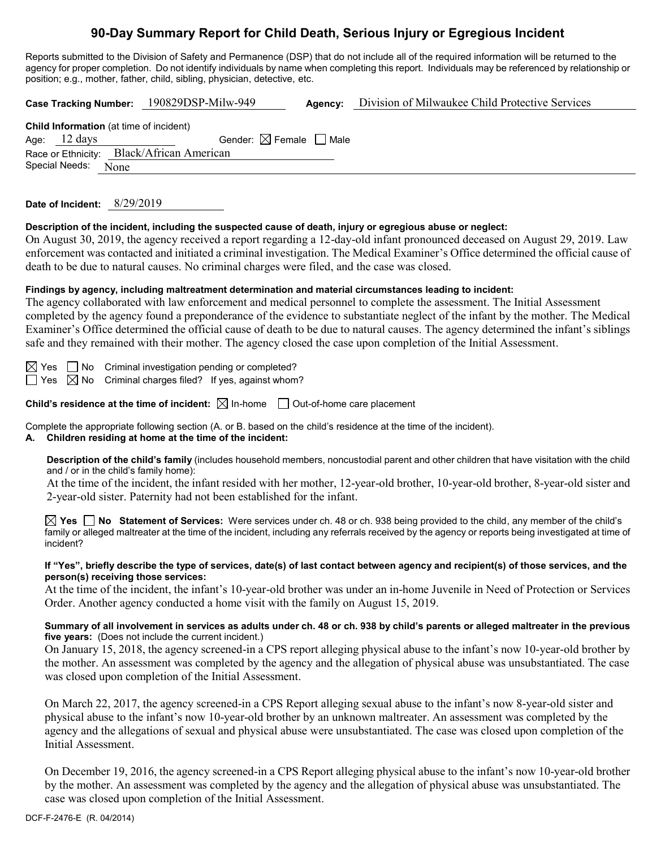# **90-Day Summary Report for Child Death, Serious Injury or Egregious Incident**

Reports submitted to the Division of Safety and Permanence (DSP) that do not include all of the required information will be returned to the agency for proper completion. Do not identify individuals by name when completing this report. Individuals may be referenced by relationship or position; e.g., mother, father, child, sibling, physician, detective, etc.

**Case Tracking Number:** 190829DSP-Milw-949 **Agency:** Division of Milwaukee Child Protective Services **Child Information** (at time of incident) Age:  $12 \text{ days}$  Gender:  $\boxtimes$  Female  $\Box$  Male Race or Ethnicity: Black/African American Special Needs: None

**Date of Incident:** 8/29/2019

**Description of the incident, including the suspected cause of death, injury or egregious abuse or neglect:**

On August 30, 2019, the agency received a report regarding a 12-day-old infant pronounced deceased on August 29, 2019. Law enforcement was contacted and initiated a criminal investigation. The Medical Examiner's Office determined the official cause of death to be due to natural causes. No criminal charges were filed, and the case was closed.

#### **Findings by agency, including maltreatment determination and material circumstances leading to incident:**

The agency collaborated with law enforcement and medical personnel to complete the assessment. The Initial Assessment completed by the agency found a preponderance of the evidence to substantiate neglect of the infant by the mother. The Medical Examiner's Office determined the official cause of death to be due to natural causes. The agency determined the infant's siblings safe and they remained with their mother. The agency closed the case upon completion of the Initial Assessment.

 $\Box$  No Criminal investigation pending or completed?

Yes  $\boxtimes$  No Criminal charges filed? If yes, against whom?

**Child's residence at the time of incident:**  $\boxtimes$  In-home  $\Box$  Out-of-home care placement

Complete the appropriate following section (A. or B. based on the child's residence at the time of the incident).

**A. Children residing at home at the time of the incident:**

**Description of the child's family** (includes household members, noncustodial parent and other children that have visitation with the child and / or in the child's family home):

At the time of the incident, the infant resided with her mother, 12-year-old brother, 10-year-old brother, 8-year-old sister and 2-year-old sister. Paternity had not been established for the infant.

**Yes No Statement of Services:** Were services under ch. 48 or ch. 938 being provided to the child, any member of the child's family or alleged maltreater at the time of the incident, including any referrals received by the agency or reports being investigated at time of incident?

#### **If "Yes", briefly describe the type of services, date(s) of last contact between agency and recipient(s) of those services, and the person(s) receiving those services:**

At the time of the incident, the infant's 10-year-old brother was under an in-home Juvenile in Need of Protection or Services Order. Another agency conducted a home visit with the family on August 15, 2019.

#### **Summary of all involvement in services as adults under ch. 48 or ch. 938 by child's parents or alleged maltreater in the previous five years:** (Does not include the current incident.)

On January 15, 2018, the agency screened-in a CPS report alleging physical abuse to the infant's now 10-year-old brother by the mother. An assessment was completed by the agency and the allegation of physical abuse was unsubstantiated. The case was closed upon completion of the Initial Assessment.

On March 22, 2017, the agency screened-in a CPS Report alleging sexual abuse to the infant's now 8-year-old sister and physical abuse to the infant's now 10-year-old brother by an unknown maltreater. An assessment was completed by the agency and the allegations of sexual and physical abuse were unsubstantiated. The case was closed upon completion of the Initial Assessment.

On December 19, 2016, the agency screened-in a CPS Report alleging physical abuse to the infant's now 10-year-old brother by the mother. An assessment was completed by the agency and the allegation of physical abuse was unsubstantiated. The case was closed upon completion of the Initial Assessment.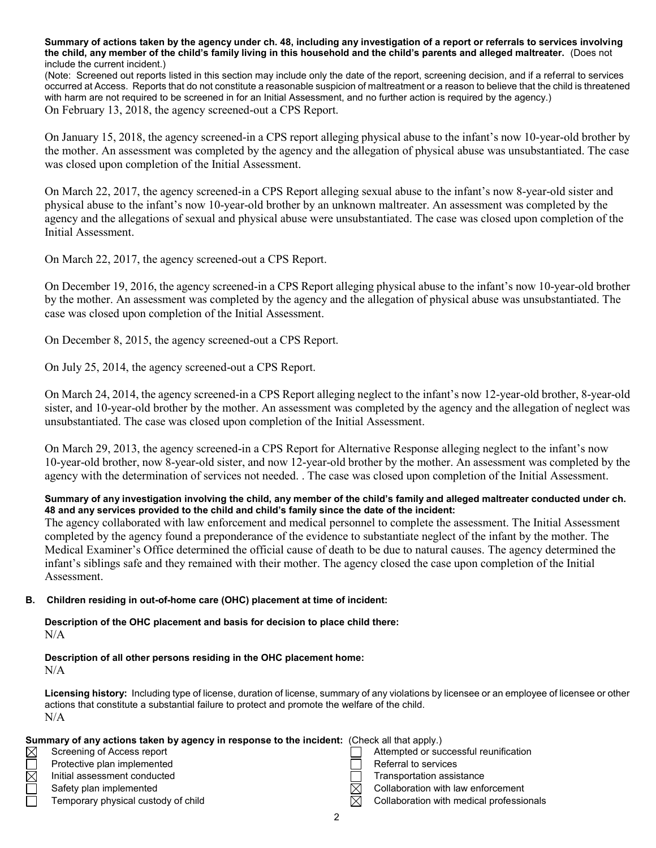**Summary of actions taken by the agency under ch. 48, including any investigation of a report or referrals to services involving the child, any member of the child's family living in this household and the child's parents and alleged maltreater.** (Does not include the current incident.)

(Note: Screened out reports listed in this section may include only the date of the report, screening decision, and if a referral to services occurred at Access. Reports that do not constitute a reasonable suspicion of maltreatment or a reason to believe that the child is threatened with harm are not required to be screened in for an Initial Assessment, and no further action is required by the agency.) On February 13, 2018, the agency screened-out a CPS Report.

On January 15, 2018, the agency screened-in a CPS report alleging physical abuse to the infant's now 10-year-old brother by the mother. An assessment was completed by the agency and the allegation of physical abuse was unsubstantiated. The case was closed upon completion of the Initial Assessment.

On March 22, 2017, the agency screened-in a CPS Report alleging sexual abuse to the infant's now 8-year-old sister and physical abuse to the infant's now 10-year-old brother by an unknown maltreater. An assessment was completed by the agency and the allegations of sexual and physical abuse were unsubstantiated. The case was closed upon completion of the Initial Assessment.

On March 22, 2017, the agency screened-out a CPS Report.

On December 19, 2016, the agency screened-in a CPS Report alleging physical abuse to the infant's now 10-year-old brother by the mother. An assessment was completed by the agency and the allegation of physical abuse was unsubstantiated. The case was closed upon completion of the Initial Assessment.

On December 8, 2015, the agency screened-out a CPS Report.

On July 25, 2014, the agency screened-out a CPS Report.

On March 24, 2014, the agency screened-in a CPS Report alleging neglect to the infant's now 12-year-old brother, 8-year-old sister, and 10-year-old brother by the mother. An assessment was completed by the agency and the allegation of neglect was unsubstantiated. The case was closed upon completion of the Initial Assessment.

On March 29, 2013, the agency screened-in a CPS Report for Alternative Response alleging neglect to the infant's now 10-year-old brother, now 8-year-old sister, and now 12-year-old brother by the mother. An assessment was completed by the agency with the determination of services not needed. . The case was closed upon completion of the Initial Assessment.

#### **Summary of any investigation involving the child, any member of the child's family and alleged maltreater conducted under ch. 48 and any services provided to the child and child's family since the date of the incident:**

The agency collaborated with law enforcement and medical personnel to complete the assessment. The Initial Assessment completed by the agency found a preponderance of the evidence to substantiate neglect of the infant by the mother. The Medical Examiner's Office determined the official cause of death to be due to natural causes. The agency determined the infant's siblings safe and they remained with their mother. The agency closed the case upon completion of the Initial Assessment.

#### **B. Children residing in out-of-home care (OHC) placement at time of incident:**

**Description of the OHC placement and basis for decision to place child there:** N/A

## **Description of all other persons residing in the OHC placement home:**

N/A

**Licensing history:** Including type of license, duration of license, summary of any violations by licensee or an employee of licensee or other actions that constitute a substantial failure to protect and promote the welfare of the child. N/A

|             | Summary of any actions taken by agency in response to the incident: (Check all that apply.) |          |                                          |
|-------------|---------------------------------------------------------------------------------------------|----------|------------------------------------------|
| $\boxtimes$ | Screening of Access report                                                                  |          | Attempted or successful reunification    |
|             | Protective plan implemented                                                                 |          | Referral to services                     |
| $\boxtimes$ | Initial assessment conducted                                                                |          | Transportation assistance                |
|             | Safety plan implemented                                                                     | $\times$ | Collaboration with law enforcement       |
|             | Temporary physical custody of child                                                         | M        | Collaboration with medical professionals |